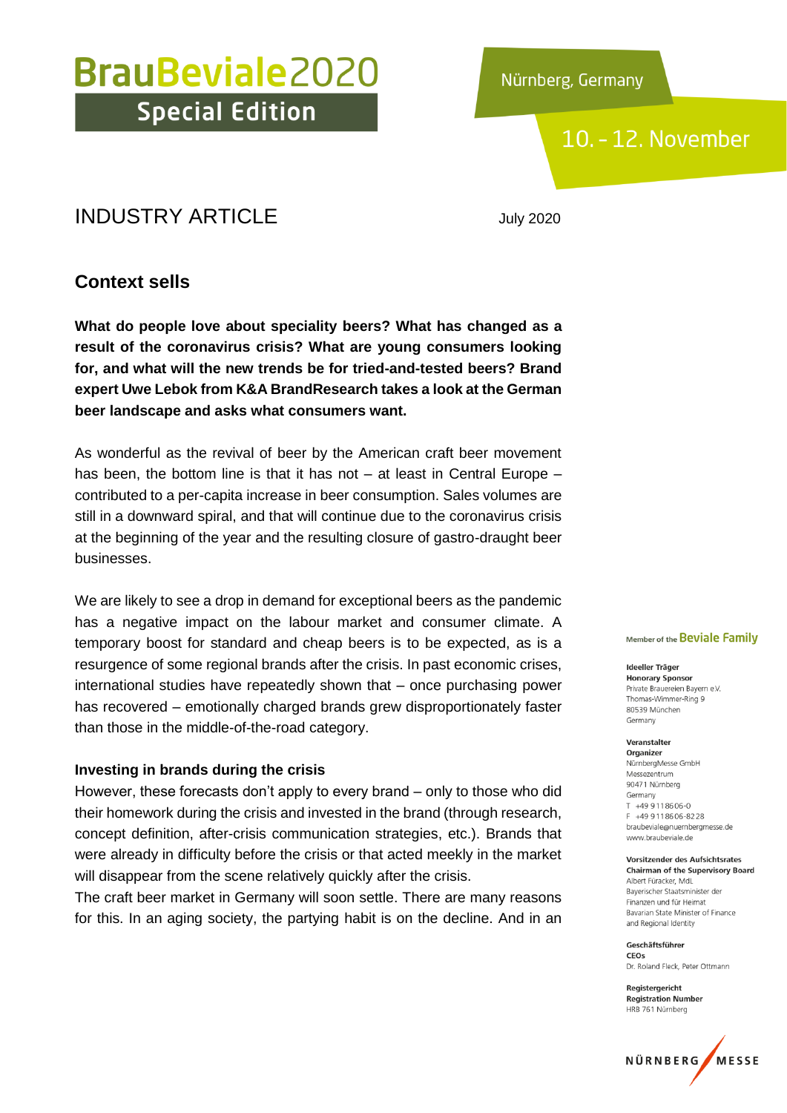Nürnberg, Germany

### 10. - 12. November

### INDUSTRY ARTICLE July 2020

### **Context sells**

**What do people love about speciality beers? What has changed as a result of the coronavirus crisis? What are young consumers looking for, and what will the new trends be for tried-and-tested beers? Brand expert Uwe Lebok from K&A BrandResearch takes a look at the German beer landscape and asks what consumers want.**

As wonderful as the revival of beer by the American craft beer movement has been, the bottom line is that it has not – at least in Central Europe – contributed to a per-capita increase in beer consumption. Sales volumes are still in a downward spiral, and that will continue due to the coronavirus crisis at the beginning of the year and the resulting closure of gastro-draught beer businesses.

We are likely to see a drop in demand for exceptional beers as the pandemic has a negative impact on the labour market and consumer climate. A temporary boost for standard and cheap beers is to be expected, as is a resurgence of some regional brands after the crisis. In past economic crises, international studies have repeatedly shown that – once purchasing power has recovered – emotionally charged brands grew disproportionately faster than those in the middle-of-the-road category.

#### **Investing in brands during the crisis**

However, these forecasts don't apply to every brand – only to those who did their homework during the crisis and invested in the brand (through research, concept definition, after-crisis communication strategies, etc.). Brands that were already in difficulty before the crisis or that acted meekly in the market will disappear from the scene relatively quickly after the crisis.

The craft beer market in Germany will soon settle. There are many reasons for this. In an aging society, the partying habit is on the decline. And in an

#### Member of the Beviale Family

Ideeller Träger **Honorary Sponsor** Private Brauereien Bayern e.V. Thomas-Wimmer-Ring 9 80539 München Germany

Veranstalter Organizer NürnbergMesse GmbH Messezentrum 90471 Nürnberg Germany  $T + 499118606 - 0$ F +49 9 11 8 6 0 6 - 8 2 2 8 braubeviale@nuernbergmesse.de www.braubeviale.de

Vorsitzender des Aufsichtsrates **Chairman of the Supervisory Board** Albert Füracker, Mdl Bayerischer Staatsminister der Finanzen und für Heimat Bavarian State Minister of Finance and Regional Identity

Geschäftsführer CEOS Dr. Roland Eleck, Peter Ottmann

Registergericht **Registration Number** HRB 761 Nürnberg

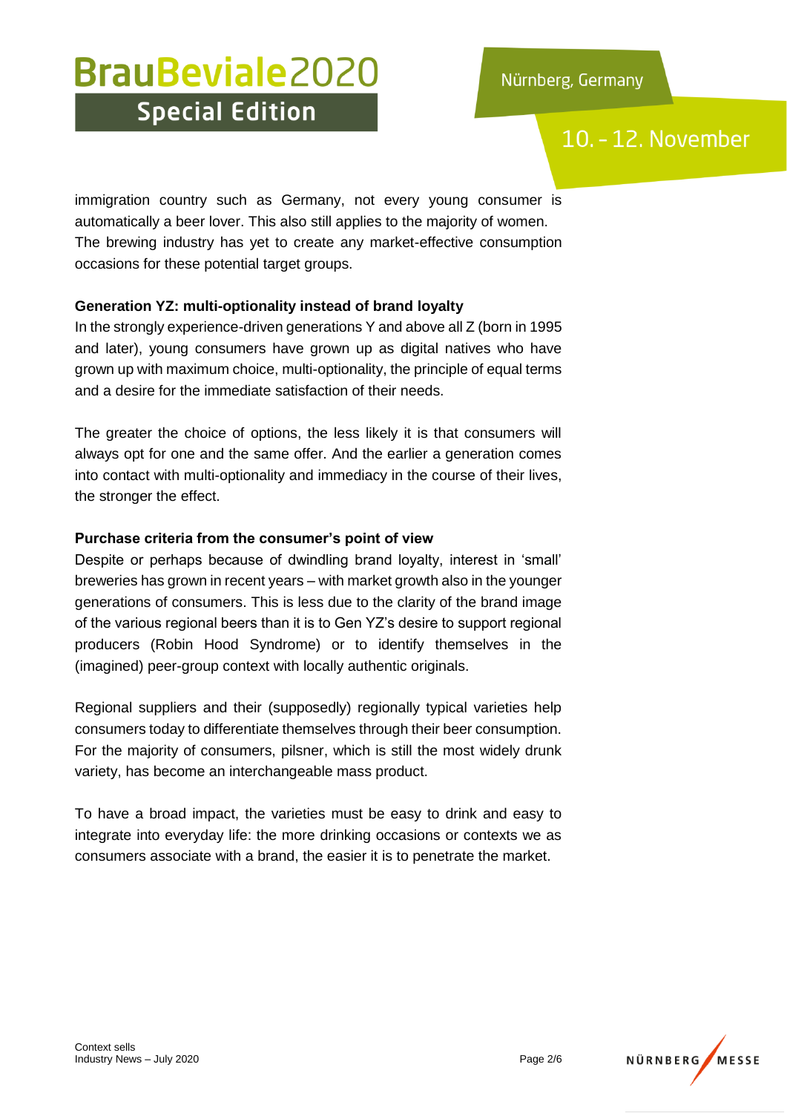### 10. - 12. November

immigration country such as Germany, not every young consumer is automatically a beer lover. This also still applies to the majority of women. The brewing industry has yet to create any market-effective consumption occasions for these potential target groups.

#### **Generation YZ: multi-optionality instead of brand loyalty**

In the strongly experience-driven generations Y and above all Z (born in 1995 and later), young consumers have grown up as digital natives who have grown up with maximum choice, multi-optionality, the principle of equal terms and a desire for the immediate satisfaction of their needs.

The greater the choice of options, the less likely it is that consumers will always opt for one and the same offer. And the earlier a generation comes into contact with multi-optionality and immediacy in the course of their lives, the stronger the effect.

#### **Purchase criteria from the consumer's point of view**

Despite or perhaps because of dwindling brand loyalty, interest in 'small' breweries has grown in recent years – with market growth also in the younger generations of consumers. This is less due to the clarity of the brand image of the various regional beers than it is to Gen YZ's desire to support regional producers (Robin Hood Syndrome) or to identify themselves in the (imagined) peer-group context with locally authentic originals.

Regional suppliers and their (supposedly) regionally typical varieties help consumers today to differentiate themselves through their beer consumption. For the majority of consumers, pilsner, which is still the most widely drunk variety, has become an interchangeable mass product.

To have a broad impact, the varieties must be easy to drink and easy to integrate into everyday life: the more drinking occasions or contexts we as consumers associate with a brand, the easier it is to penetrate the market.

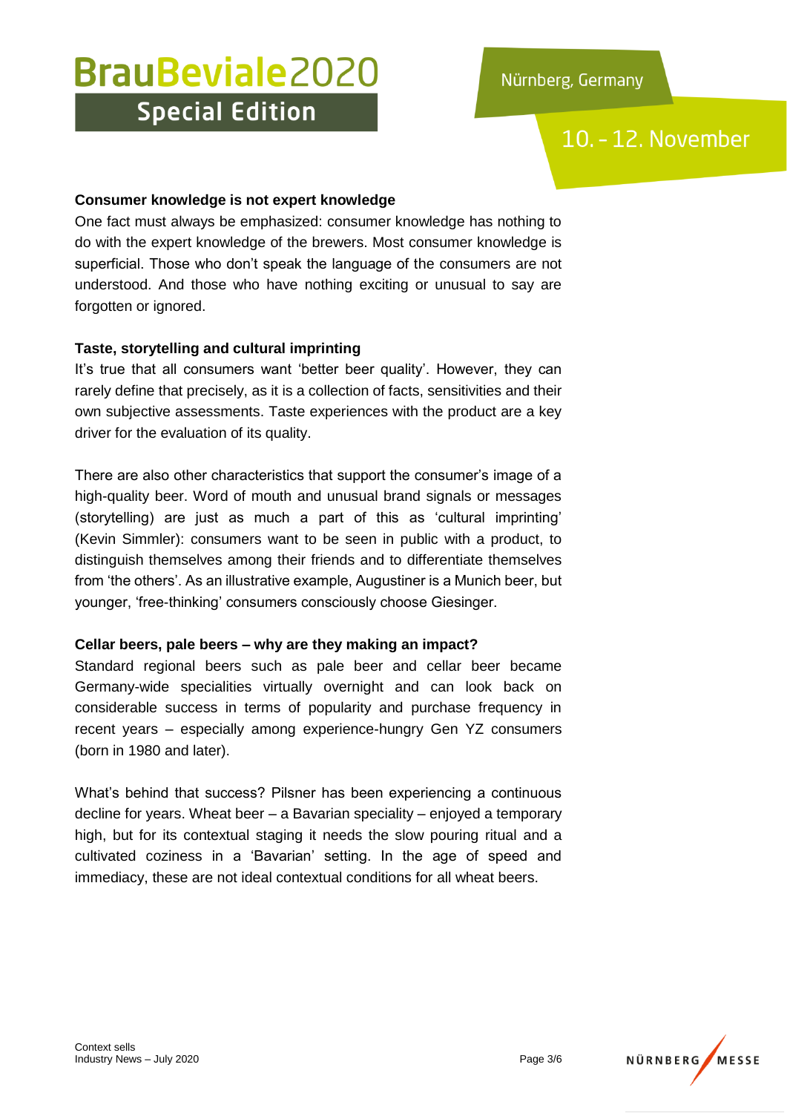10. - 12. November

#### **Consumer knowledge is not expert knowledge**

One fact must always be emphasized: consumer knowledge has nothing to do with the expert knowledge of the brewers. Most consumer knowledge is superficial. Those who don't speak the language of the consumers are not understood. And those who have nothing exciting or unusual to say are forgotten or ignored.

#### **Taste, storytelling and cultural imprinting**

It's true that all consumers want 'better beer quality'. However, they can rarely define that precisely, as it is a collection of facts, sensitivities and their own subjective assessments. Taste experiences with the product are a key driver for the evaluation of its quality.

There are also other characteristics that support the consumer's image of a high-quality beer. Word of mouth and unusual brand signals or messages (storytelling) are just as much a part of this as 'cultural imprinting' (Kevin Simmler): consumers want to be seen in public with a product, to distinguish themselves among their friends and to differentiate themselves from 'the others'. As an illustrative example, Augustiner is a Munich beer, but younger, 'free-thinking' consumers consciously choose Giesinger.

#### **Cellar beers, pale beers – why are they making an impact?**

Standard regional beers such as pale beer and cellar beer became Germany-wide specialities virtually overnight and can look back on considerable success in terms of popularity and purchase frequency in recent years – especially among experience-hungry Gen YZ consumers (born in 1980 and later).

What's behind that success? Pilsner has been experiencing a continuous decline for years. Wheat beer – a Bavarian speciality – enjoyed a temporary high, but for its contextual staging it needs the slow pouring ritual and a cultivated coziness in a 'Bavarian' setting. In the age of speed and immediacy, these are not ideal contextual conditions for all wheat beers.

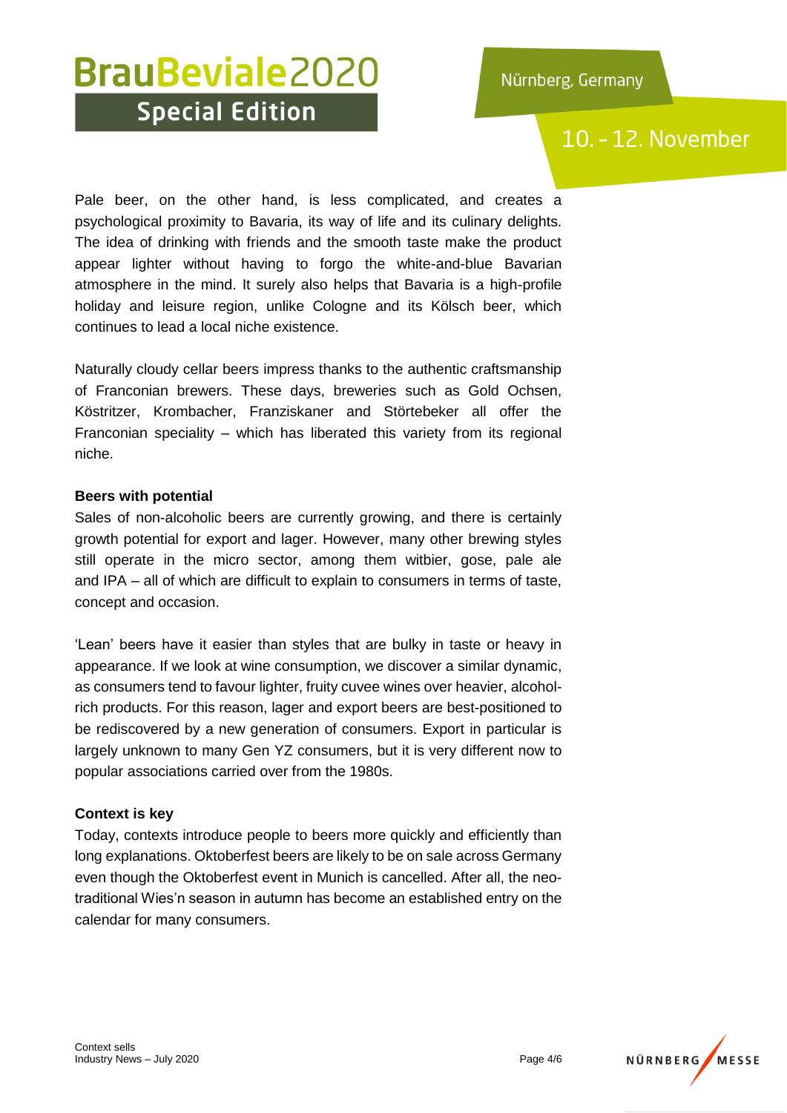### 10. - 12. November

Pale beer, on the other hand, is less complicated, and creates a psychological proximity to Bavaria, its way of life and its culinary delights. The idea of drinking with friends and the smooth taste make the product appear lighter without having to forgo the white-and-blue Bavarian atmosphere in the mind. It surely also helps that Bavaria is a high-profile holiday and leisure region, unlike Cologne and its Kölsch beer, which continues to lead a local niche existence.

Naturally cloudy cellar beers impress thanks to the authentic craftsmanship of Franconian brewers. These days, breweries such as Gold Ochsen, Köstritzer, Krombacher, Franziskaner and Störtebeker all offer the Franconian speciality – which has liberated this variety from its regional niche.

#### **Beers with potential**

Sales of non-alcoholic beers are currently growing, and there is certainly growth potential for export and lager. However, many other brewing styles still operate in the micro sector, among them witbier, gose, pale ale and IPA – all of which are difficult to explain to consumers in terms of taste, concept and occasion.

'Lean' beers have it easier than styles that are bulky in taste or heavy in appearance. If we look at wine consumption, we discover a similar dynamic, as consumers tend to favour lighter, fruity cuvee wines over heavier, alcoholrich products. For this reason, lager and export beers are best-positioned to be rediscovered by a new generation of consumers. Export in particular is largely unknown to many Gen YZ consumers, but it is very different now to popular associations carried over from the 1980s.

#### **Context is key**

Today, contexts introduce people to beers more quickly and efficiently than long explanations. Oktoberfest beers are likely to be on sale across Germany even though the Oktoberfest event in Munich is cancelled. After all, the neotraditional Wies'n season in autumn has become an established entry on the calendar for many consumers.

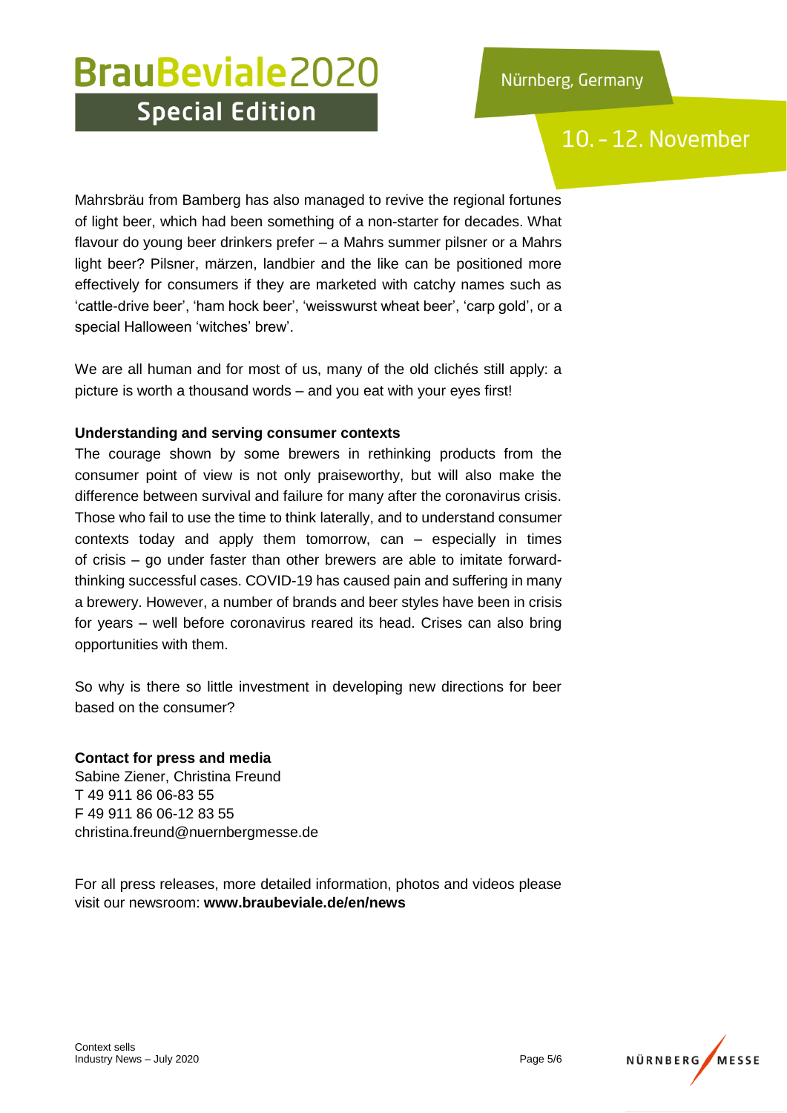### 10. - 12. November

Mahrsbräu from Bamberg has also managed to revive the regional fortunes of light beer, which had been something of a non-starter for decades. What flavour do young beer drinkers prefer – a Mahrs summer pilsner or a Mahrs light beer? Pilsner, märzen, landbier and the like can be positioned more effectively for consumers if they are marketed with catchy names such as 'cattle-drive beer', 'ham hock beer', 'weisswurst wheat beer', 'carp gold', or a special Halloween 'witches' brew'.

We are all human and for most of us, many of the old clichés still apply: a picture is worth a thousand words – and you eat with your eyes first!

#### **Understanding and serving consumer contexts**

The courage shown by some brewers in rethinking products from the consumer point of view is not only praiseworthy, but will also make the difference between survival and failure for many after the coronavirus crisis. Those who fail to use the time to think laterally, and to understand consumer contexts today and apply them tomorrow, can – especially in times of crisis – go under faster than other brewers are able to imitate forwardthinking successful cases. COVID-19 has caused pain and suffering in many a brewery. However, a number of brands and beer styles have been in crisis for years – well before coronavirus reared its head. Crises can also bring opportunities with them.

So why is there so little investment in developing new directions for beer based on the consumer?

#### **Contact for press and media**

Sabine Ziener, Christina Freund T 49 911 86 06-83 55 F 49 911 86 06-12 83 55 christina.freund@nuernbergmesse.de

For all press releases, more detailed information, photos and videos please visit our newsroom: **www.braubeviale.de/en/news**